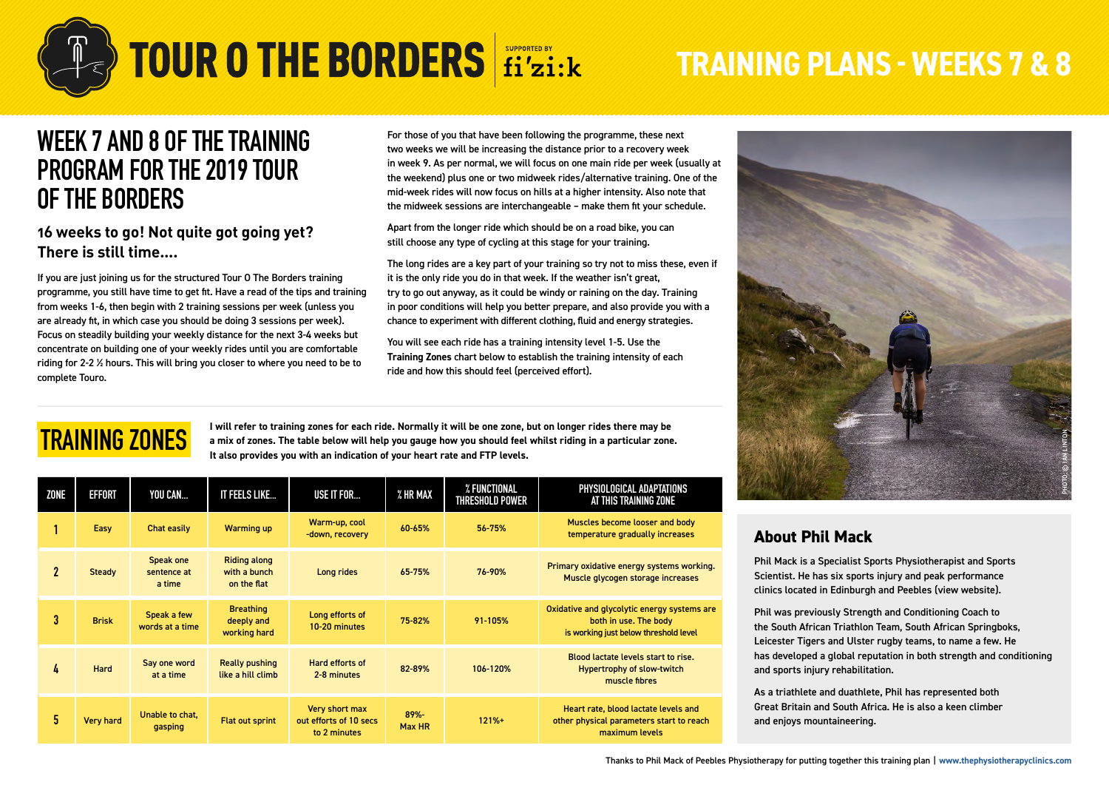

# **TOUR O THE BORDERS fi'zi:k**

# **TRAINING PLANS - WEEKS 7 & 8**

### **WEEK 7 AND 8 OF THE TRAINING PROGRAM FOR THE 2019 TOUR OF THE BORDERS**

#### **16 weeks to go! Not quite got going yet? There is still time….**

If you are just joining us for the structured Tour O The Borders training programme, you still have time to get fit. Have a read of the tips and training from weeks 1-6, then begin with 2 training sessions per week (unless you are already fit, in which case you should be doing 3 sessions per week). Focus on steadily building your weekly distance for the next 3-4 weeks but concentrate on building one of your weekly rides until you are comfortable riding for 2-2 ½ hours. This will bring you closer to where you need to be to complete Touro.

For those of you that have been following the programme, these next two weeks we will be increasing the distance prior to a recovery week in week 9. As per normal, we will focus on one main ride per week (usually at the weekend) plus one or two midweek rides/alternative training. One of the mid-week rides will now focus on hills at a higher intensity. Also note that the midweek sessions are interchangeable – make them fit your schedule.

Apart from the longer ride which should be on a road bike, you can still choose any type of cycling at this stage for your training.

The long rides are a key part of your training so try not to miss these, even if it is the only ride you do in that week. If the weather isn't great, try to go out anyway, as it could be windy or raining on the day. Training in poor conditions will help you better prepare, and also provide you with a chance to experiment with different clothing, fluid and energy strategies.

You will see each ride has a training intensity level 1-5. Use the **Training Zones** chart below to establish the training intensity of each ride and how this should feel (perceived effort).

### **TRAINING ZONES**

**I will refer to training zones for each ride. Normally it will be one zone, but on longer rides there may be a mix of zones. The table below will help you gauge how you should feel whilst riding in a particular zone. It also provides you with an indication of your heart rate and FTP levels.**

| ZONE        | <b>EFFORT</b>    | YOU CAN                            | IT FEELS LIKE                                      | USE IT FOR                                               | % HR MAX       | % FUNCTIONAL<br>THRESHOLD POWER | PHYSIOLOGICAL ADAPTATIONS<br>AT THIS TRAINING ZONE                                                            |  |
|-------------|------------------|------------------------------------|----------------------------------------------------|----------------------------------------------------------|----------------|---------------------------------|---------------------------------------------------------------------------------------------------------------|--|
|             | Easy             | Chat easily                        | <b>Warming up</b>                                  | Warm-up, cool<br>-down, recovery                         | 60-65%         | 56-75%                          | Muscles become looser and body<br>temperature gradually increases                                             |  |
| $\mathbf 2$ | Steady           | Speak one<br>sentence at<br>a time | <b>Riding along</b><br>with a bunch<br>on the flat | Long rides                                               | 65-75%         | 76-90%                          | Primary oxidative energy systems working.<br>Muscle glycogen storage increases                                |  |
| 3           | <b>Brisk</b>     | Speak a few<br>words at a time     | <b>Breathing</b><br>deeply and<br>working hard     | Long efforts of<br>10-20 minutes                         | 75-82%         | 91-105%                         | Oxidative and glycolytic energy systems are<br>both in use. The body<br>is working just below threshold level |  |
| 4           | Hard             | Say one word<br>at a time          | <b>Really pushing</b><br>like a hill climb         | Hard efforts of<br>2-8 minutes                           | 82-89%         | 106-120%                        | Blood lactate levels start to rise.<br><b>Hypertrophy of slow-twitch</b><br>muscle fibres                     |  |
| 5           | <b>Very hard</b> | Unable to chat.<br>gasping         | <b>Flat out sprint</b>                             | Very short max<br>out efforts of 10 secs<br>to 2 minutes | 89%-<br>Max HR | $121% +$                        | Heart rate, blood lactate levels and<br>other physical parameters start to reach<br>maximum levels            |  |



#### **About Phil Mack**

Phil Mack is a Specialist Sports Physiotherapist and Sports Scientist. He has six sports injury and peak performance clinics located in Edinburgh and Peebles [\(view website\)](https://thephysiotherapyclinics.com/).

Phil was previously Strength and Conditioning Coach to the South African Triathlon Team, South African Springboks, Leicester Tigers and Ulster rugby teams, to name a few. He has developed a global reputation in both strength and conditioning and sports injury rehabilitation.

As a triathlete and duathlete, Phil has represented both Great Britain and South Africa. He is also a keen climber and enjoys mountaineering.